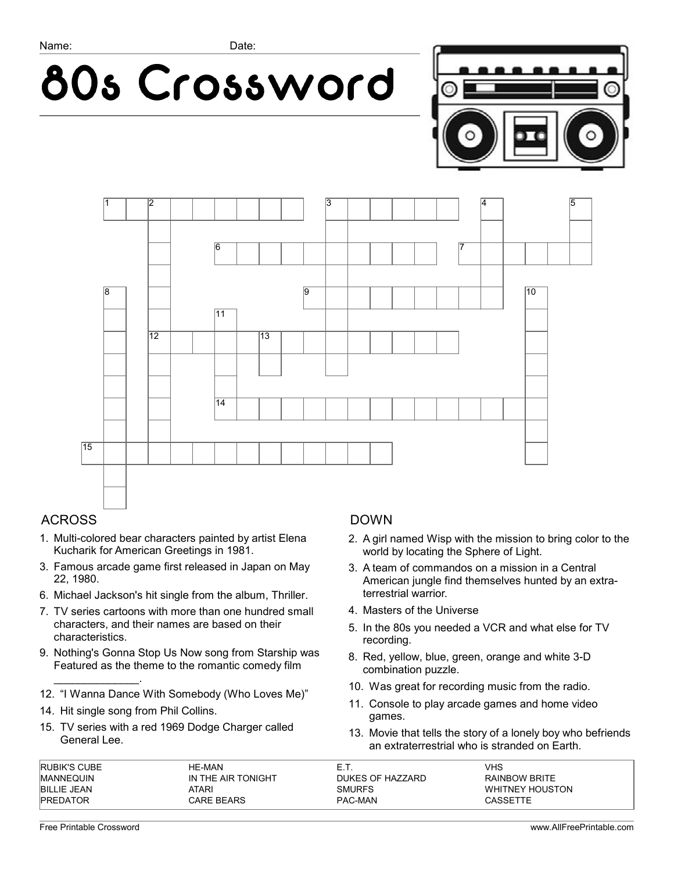





## ACROSS

- 1. Multi-colored bear characters painted by artist Elena Kucharik for American Greetings in 1981.
- 3. Famous arcade game first released in Japan on May 22, 1980.
- 6. Michael Jackson's hit single from the album, Thriller.
- 7. TV series cartoons with more than one hundred small characters, and their names are based on their characteristics.
- 9. Nothing's Gonna Stop Us Now song from Starship was Featured as the theme to the romantic comedy film
- 12. "I Wanna Dance With Somebody (Who Loves Me)"
- 14. Hit single song from Phil Collins.
- 15. TV series with a red 1969 Dodge Charger called General Lee.

#### DOWN

- 2. A girl named Wisp with the mission to bring color to the world by locating the Sphere of Light.
- 3. A team of commandos on a mission in a Central American jungle find themselves hunted by an extraterrestrial warrior.
- 4. Masters of the Universe
- 5. In the 80s you needed a VCR and what else for TV recording.
- 8. Red, yellow, blue, green, orange and white 3-D combination puzzle.
- 10. Was great for recording music from the radio.
- 11. Console to play arcade games and home video games.
- 13. Movie that tells the story of a lonely boy who befriends an extraterrestrial who is stranded on Earth.

| <b>RUBIK'S CUBE</b> | HE-MAN             |                  | ∕HS                  |
|---------------------|--------------------|------------------|----------------------|
| <b>IMANNEQUIN</b>   | IN THE AIR TONIGHT | DUKES OF HAZZARD | <b>RAINBOW BRITE</b> |
| <b>BILLIE JEAN</b>  | ATARI              | <b>SMURFS</b>    | WHITNEY HOUSTON      |
| <b>PREDATOR</b>     | <b>CARE BEARS</b>  | PAC-MAN          | CASSETTE             |

\_\_\_\_\_\_\_\_\_\_\_\_\_\_.